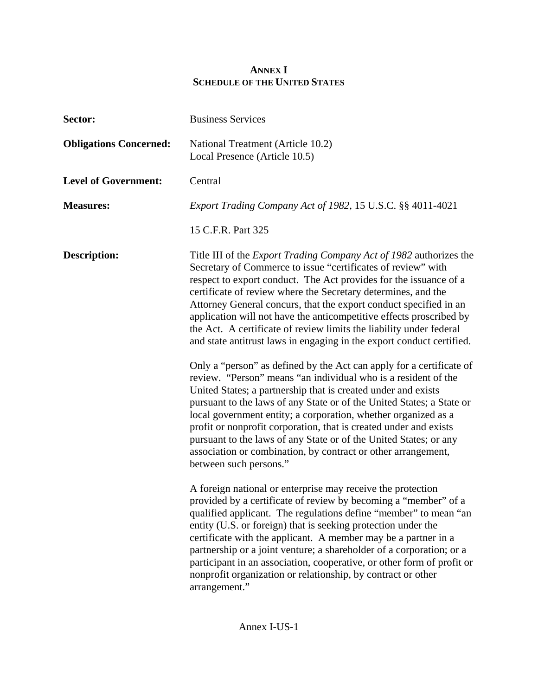## **ANNEX I SCHEDULE OF THE UNITED STATES**

| Sector:                       | <b>Business Services</b>                                                                                                                                                                                                                                                                                                                                                                                                                                                                                                                                                                |  |
|-------------------------------|-----------------------------------------------------------------------------------------------------------------------------------------------------------------------------------------------------------------------------------------------------------------------------------------------------------------------------------------------------------------------------------------------------------------------------------------------------------------------------------------------------------------------------------------------------------------------------------------|--|
| <b>Obligations Concerned:</b> | National Treatment (Article 10.2)<br>Local Presence (Article 10.5)                                                                                                                                                                                                                                                                                                                                                                                                                                                                                                                      |  |
| <b>Level of Government:</b>   | Central                                                                                                                                                                                                                                                                                                                                                                                                                                                                                                                                                                                 |  |
| <b>Measures:</b>              | Export Trading Company Act of 1982, 15 U.S.C. §§ 4011-4021                                                                                                                                                                                                                                                                                                                                                                                                                                                                                                                              |  |
|                               | 15 C.F.R. Part 325                                                                                                                                                                                                                                                                                                                                                                                                                                                                                                                                                                      |  |
| <b>Description:</b>           | Title III of the <i>Export Trading Company Act of 1982</i> authorizes the<br>Secretary of Commerce to issue "certificates of review" with<br>respect to export conduct. The Act provides for the issuance of a<br>certificate of review where the Secretary determines, and the<br>Attorney General concurs, that the export conduct specified in an<br>application will not have the anticompetitive effects proscribed by<br>the Act. A certificate of review limits the liability under federal<br>and state antitrust laws in engaging in the export conduct certified.             |  |
|                               | Only a "person" as defined by the Act can apply for a certificate of<br>review. "Person" means "an individual who is a resident of the<br>United States; a partnership that is created under and exists<br>pursuant to the laws of any State or of the United States; a State or<br>local government entity; a corporation, whether organized as a<br>profit or nonprofit corporation, that is created under and exists<br>pursuant to the laws of any State or of the United States; or any<br>association or combination, by contract or other arrangement,<br>between such persons." |  |
|                               | A foreign national or enterprise may receive the protection<br>provided by a certificate of review by becoming a "member" of a<br>qualified applicant. The regulations define "member" to mean "an<br>entity (U.S. or foreign) that is seeking protection under the<br>certificate with the applicant. A member may be a partner in a<br>partnership or a joint venture; a shareholder of a corporation; or a<br>participant in an association, cooperative, or other form of profit or<br>nonprofit organization or relationship, by contract or other<br>arrangement."                |  |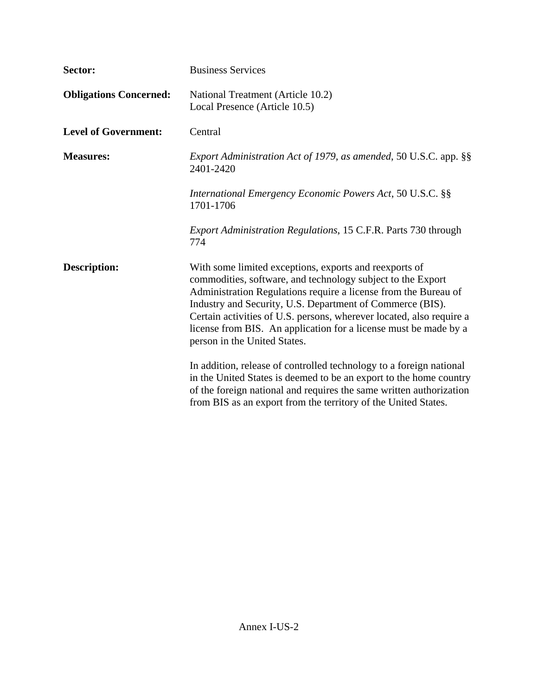| Sector:                       | <b>Business Services</b>                                                                                                                                                                                                                                                                                                                                                                                                          |  |
|-------------------------------|-----------------------------------------------------------------------------------------------------------------------------------------------------------------------------------------------------------------------------------------------------------------------------------------------------------------------------------------------------------------------------------------------------------------------------------|--|
| <b>Obligations Concerned:</b> | National Treatment (Article 10.2)<br>Local Presence (Article 10.5)                                                                                                                                                                                                                                                                                                                                                                |  |
| <b>Level of Government:</b>   | Central                                                                                                                                                                                                                                                                                                                                                                                                                           |  |
| <b>Measures:</b>              | Export Administration Act of 1979, as amended, 50 U.S.C. app. §§<br>2401-2420                                                                                                                                                                                                                                                                                                                                                     |  |
|                               | International Emergency Economic Powers Act, 50 U.S.C. §§<br>1701-1706                                                                                                                                                                                                                                                                                                                                                            |  |
|                               | Export Administration Regulations, 15 C.F.R. Parts 730 through<br>774                                                                                                                                                                                                                                                                                                                                                             |  |
| <b>Description:</b>           | With some limited exceptions, exports and reexports of<br>commodities, software, and technology subject to the Export<br>Administration Regulations require a license from the Bureau of<br>Industry and Security, U.S. Department of Commerce (BIS).<br>Certain activities of U.S. persons, wherever located, also require a<br>license from BIS. An application for a license must be made by a<br>person in the United States. |  |
|                               | In addition, release of controlled technology to a foreign national<br>in the United States is deemed to be an export to the home country<br>of the foreign national and requires the same written authorization<br>from BIS as an export from the territory of the United States.                                                                                                                                                |  |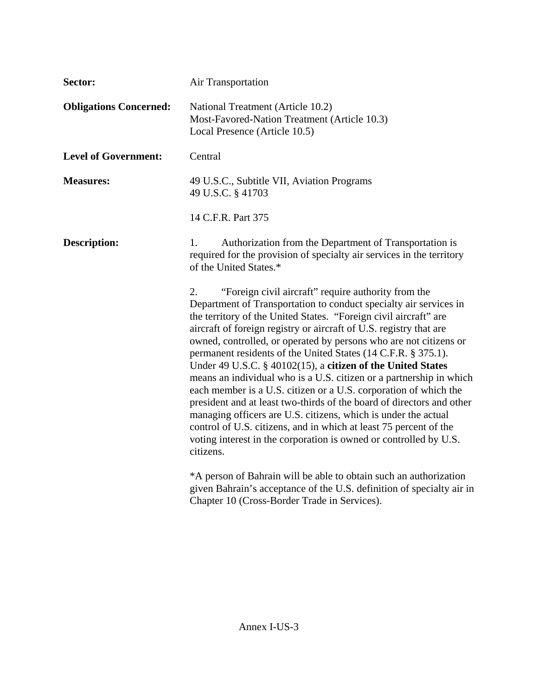| Sector:                       | Air Transportation                                                                                                                                                                                                                                                                                                                                                                                                                                                                                                                                                                                                                                                                                                                                                                                                                                                                                                         |  |  |
|-------------------------------|----------------------------------------------------------------------------------------------------------------------------------------------------------------------------------------------------------------------------------------------------------------------------------------------------------------------------------------------------------------------------------------------------------------------------------------------------------------------------------------------------------------------------------------------------------------------------------------------------------------------------------------------------------------------------------------------------------------------------------------------------------------------------------------------------------------------------------------------------------------------------------------------------------------------------|--|--|
| <b>Obligations Concerned:</b> | National Treatment (Article 10.2)<br>Most-Favored-Nation Treatment (Article 10.3)<br>Local Presence (Article 10.5)                                                                                                                                                                                                                                                                                                                                                                                                                                                                                                                                                                                                                                                                                                                                                                                                         |  |  |
| <b>Level of Government:</b>   | Central                                                                                                                                                                                                                                                                                                                                                                                                                                                                                                                                                                                                                                                                                                                                                                                                                                                                                                                    |  |  |
| <b>Measures:</b>              | 49 U.S.C., Subtitle VII, Aviation Programs<br>49 U.S.C. § 41703                                                                                                                                                                                                                                                                                                                                                                                                                                                                                                                                                                                                                                                                                                                                                                                                                                                            |  |  |
|                               | 14 C.F.R. Part 375                                                                                                                                                                                                                                                                                                                                                                                                                                                                                                                                                                                                                                                                                                                                                                                                                                                                                                         |  |  |
| <b>Description:</b>           | $1_{-}$<br>Authorization from the Department of Transportation is<br>required for the provision of specialty air services in the territory<br>of the United States.*                                                                                                                                                                                                                                                                                                                                                                                                                                                                                                                                                                                                                                                                                                                                                       |  |  |
|                               | "Foreign civil aircraft" require authority from the<br>2.<br>Department of Transportation to conduct specialty air services in<br>the territory of the United States. "Foreign civil aircraft" are<br>aircraft of foreign registry or aircraft of U.S. registry that are<br>owned, controlled, or operated by persons who are not citizens or<br>permanent residents of the United States (14 C.F.R. § 375.1).<br>Under 49 U.S.C. § 40102(15), a citizen of the United States<br>means an individual who is a U.S. citizen or a partnership in which<br>each member is a U.S. citizen or a U.S. corporation of which the<br>president and at least two-thirds of the board of directors and other<br>managing officers are U.S. citizens, which is under the actual<br>control of U.S. citizens, and in which at least 75 percent of the<br>voting interest in the corporation is owned or controlled by U.S.<br>citizens. |  |  |
|                               | *A person of Bahrain will be able to obtain such an authorization<br>given Bahrain's acceptance of the U.S. definition of specialty air in<br>Chapter 10 (Cross-Border Trade in Services).                                                                                                                                                                                                                                                                                                                                                                                                                                                                                                                                                                                                                                                                                                                                 |  |  |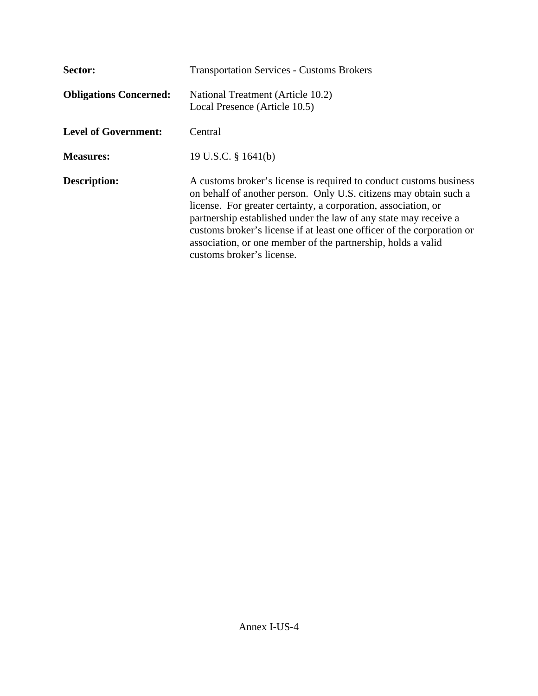| Sector:                       | <b>Transportation Services - Customs Brokers</b>                                                                                                                                                                                                                                                                                                                                                                                                     |
|-------------------------------|------------------------------------------------------------------------------------------------------------------------------------------------------------------------------------------------------------------------------------------------------------------------------------------------------------------------------------------------------------------------------------------------------------------------------------------------------|
| <b>Obligations Concerned:</b> | National Treatment (Article 10.2)<br>Local Presence (Article 10.5)                                                                                                                                                                                                                                                                                                                                                                                   |
| <b>Level of Government:</b>   | Central                                                                                                                                                                                                                                                                                                                                                                                                                                              |
| <b>Measures:</b>              | 19 U.S.C. $\S$ 1641(b)                                                                                                                                                                                                                                                                                                                                                                                                                               |
| Description:                  | A customs broker's license is required to conduct customs business<br>on behalf of another person. Only U.S. citizens may obtain such a<br>license. For greater certainty, a corporation, association, or<br>partnership established under the law of any state may receive a<br>customs broker's license if at least one officer of the corporation or<br>association, or one member of the partnership, holds a valid<br>customs broker's license. |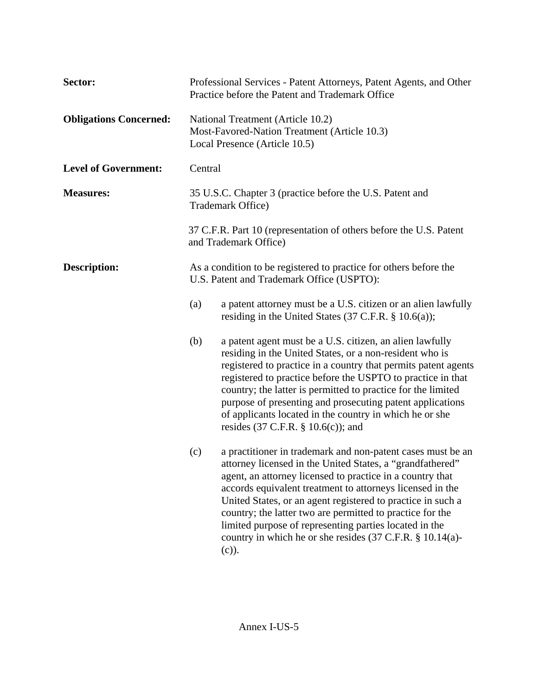| Sector:                       | Professional Services - Patent Attorneys, Patent Agents, and Other<br>Practice before the Patent and Trademark Office |                                                                                                                                                                                                                                                                                                                                                                                                                                                                                                                   |  |  |  |
|-------------------------------|-----------------------------------------------------------------------------------------------------------------------|-------------------------------------------------------------------------------------------------------------------------------------------------------------------------------------------------------------------------------------------------------------------------------------------------------------------------------------------------------------------------------------------------------------------------------------------------------------------------------------------------------------------|--|--|--|
| <b>Obligations Concerned:</b> | National Treatment (Article 10.2)<br>Most-Favored-Nation Treatment (Article 10.3)<br>Local Presence (Article 10.5)    |                                                                                                                                                                                                                                                                                                                                                                                                                                                                                                                   |  |  |  |
| <b>Level of Government:</b>   | Central                                                                                                               |                                                                                                                                                                                                                                                                                                                                                                                                                                                                                                                   |  |  |  |
| <b>Measures:</b>              |                                                                                                                       | 35 U.S.C. Chapter 3 (practice before the U.S. Patent and<br>Trademark Office)                                                                                                                                                                                                                                                                                                                                                                                                                                     |  |  |  |
|                               | 37 C.F.R. Part 10 (representation of others before the U.S. Patent<br>and Trademark Office)                           |                                                                                                                                                                                                                                                                                                                                                                                                                                                                                                                   |  |  |  |
| <b>Description:</b>           | As a condition to be registered to practice for others before the<br>U.S. Patent and Trademark Office (USPTO):        |                                                                                                                                                                                                                                                                                                                                                                                                                                                                                                                   |  |  |  |
|                               | (a)                                                                                                                   | a patent attorney must be a U.S. citizen or an alien lawfully<br>residing in the United States $(37 \text{ C.F.R. } § 10.6(a))$ ;                                                                                                                                                                                                                                                                                                                                                                                 |  |  |  |
|                               | (b)                                                                                                                   | a patent agent must be a U.S. citizen, an alien lawfully<br>residing in the United States, or a non-resident who is<br>registered to practice in a country that permits patent agents<br>registered to practice before the USPTO to practice in that<br>country; the latter is permitted to practice for the limited<br>purpose of presenting and prosecuting patent applications<br>of applicants located in the country in which he or she<br>resides $(37 \text{ C.F.R. } § 10.6(c))$ ; and                    |  |  |  |
|                               | (c)                                                                                                                   | a practitioner in trademark and non-patent cases must be an<br>attorney licensed in the United States, a "grandfathered"<br>agent, an attorney licensed to practice in a country that<br>accords equivalent treatment to attorneys licensed in the<br>United States, or an agent registered to practice in such a<br>country; the latter two are permitted to practice for the<br>limited purpose of representing parties located in the<br>country in which he or she resides (37 C.F.R. § 10.14(a)-<br>$(c)$ ). |  |  |  |